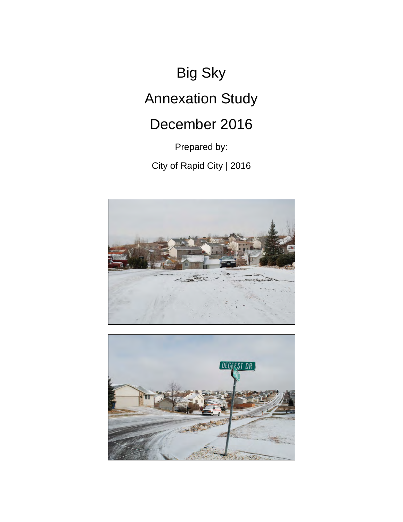# Big Sky Annexation Study

# December 2016

Prepared by:

City of Rapid City | 2016



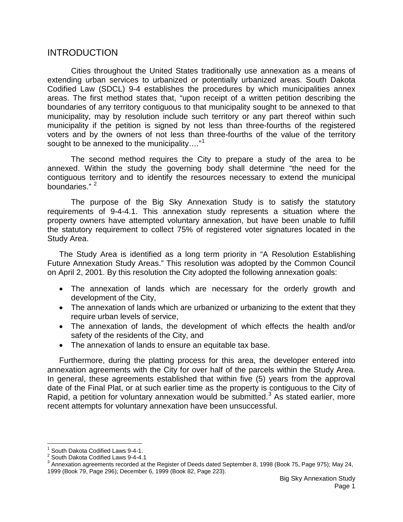# INTRODUCTION

Cities throughout the United States traditionally use annexation as a means of extending urban services to urbanized or potentially urbanized areas. South Dakota Codified Law (SDCL) 9-4 establishes the procedures by which municipalities annex areas. The first method states that, "upon receipt of a written petition describing the boundaries of any territory contiguous to that municipality sought to be annexed to that municipality, may by resolution include such territory or any part thereof within such municipality if the petition is signed by not less than three-fourths of the registered voters and by the owners of not less than three-fourths of the value of the territory sought to be annexed to the municipality...."<sup>[1](#page-1-0)</sup>

The second method requires the City to prepare a study of the area to be annexed. Within the study the governing body shall determine "the need for the contiguous territory and to identify the resources necessary to extend the municipal boundaries."<sup>[2](#page-1-1)</sup>

The purpose of the Big Sky Annexation Study is to satisfy the statutory requirements of 9-4-4.1. This annexation study represents a situation where the property owners have attempted voluntary annexation, but have been unable to fulfill the statutory requirement to collect 75% of registered voter signatures located in the Study Area.

The Study Area is identified as a long term priority in "A Resolution Establishing Future Annexation Study Areas." This resolution was adopted by the Common Council on April 2, 2001. By this resolution the City adopted the following annexation goals:

- The annexation of lands which are necessary for the orderly growth and development of the City,
- The annexation of lands which are urbanized or urbanizing to the extent that they require urban levels of service,
- The annexation of lands, the development of which effects the health and/or safety of the residents of the City, and
- The annexation of lands to ensure an equitable tax base.

Furthermore, during the platting process for this area, the developer entered into annexation agreements with the City for over half of the parcels within the Study Area. In general, these agreements established that within five (5) years from the approval date of the Final Plat, or at such earlier time as the property is contiguous to the City of Rapid, a petition for voluntary annexation would be submitted.<sup>[3](#page-1-2)</sup> As stated earlier, more recent attempts for voluntary annexation have been unsuccessful.

<span id="page-1-2"></span><span id="page-1-1"></span>

<span id="page-1-0"></span><sup>&</sup>lt;sup>1</sup> South Dakota Codified Laws 9-4-1.<br><sup>2</sup> South Dakota Codified Laws 9-4-4.1<br><sup>3</sup> Annexation agreements recorded at the Register of Deeds dated September 8, 1998 (Book 75, Page 975); May 24, 1999 (Book 79, Page 296); December 6, 1999 (Book 82, Page 223).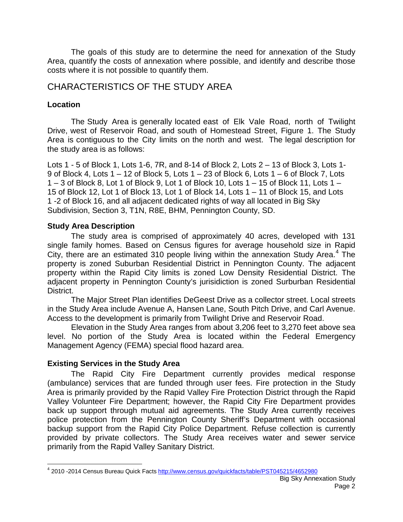The goals of this study are to determine the need for annexation of the Study Area, quantify the costs of annexation where possible, and identify and describe those costs where it is not possible to quantify them.

# CHARACTERISTICS OF THE STUDY AREA

### **Location**

The Study Area is generally located east of Elk Vale Road, north of Twilight Drive, west of Reservoir Road, and south of Homestead Street, Figure 1. The Study Area is contiguous to the City limits on the north and west. The legal description for the study area is as follows:

Lots 1 - 5 of Block 1, Lots 1-6, 7R, and 8-14 of Block 2, Lots 2 – 13 of Block 3, Lots 1- 9 of Block 4, Lots 1 – 12 of Block 5, Lots 1 – 23 of Block 6, Lots 1 – 6 of Block 7, Lots 1 – 3 of Block 8, Lot 1 of Block 9, Lot 1 of Block 10, Lots 1 – 15 of Block 11, Lots 1 – 15 of Block 12, Lot 1 of Block 13, Lot 1 of Block 14, Lots 1 – 11 of Block 15, and Lots 1 -2 of Block 16, and all adjacent dedicated rights of way all located in Big Sky Subdivision, Section 3, T1N, R8E, BHM, Pennington County, SD.

#### **Study Area Description**

The study area is comprised of approximately 40 acres, developed with 131 single family homes. Based on Census figures for average household size in Rapid City, there are an estimated 310 people living within the annexation Study Area.<sup>[4](#page-2-0)</sup> The property is zoned Suburban Residential District in Pennington County. The adjacent property within the Rapid City limits is zoned Low Density Residential District. The adjacent property in Pennington County's jurisidiction is zoned Surburban Residential District.

The Major Street Plan identifies DeGeest Drive as a collector street. Local streets in the Study Area include Avenue A, Hansen Lane, South Pitch Drive, and Carl Avenue. Access to the development is primarily from Twilight Drive and Reservoir Road.

Elevation in the Study Area ranges from about 3,206 feet to 3,270 feet above sea level. No portion of the Study Area is located within the Federal Emergency Management Agency (FEMA) special flood hazard area.

# **Existing Services in the Study Area**

The Rapid City Fire Department currently provides medical response (ambulance) services that are funded through user fees. Fire protection in the Study Area is primarily provided by the Rapid Valley Fire Protection District through the Rapid Valley Volunteer Fire Department; however, the Rapid City Fire Department provides back up support through mutual aid agreements. The Study Area currently receives police protection from the Pennington County Sheriff's Department with occasional backup support from the Rapid City Police Department. Refuse collection is currently provided by private collectors. The Study Area receives water and sewer service primarily from the Rapid Valley Sanitary District.

<span id="page-2-0"></span><sup>4</sup> 2010 -2014 Census Bureau Quick Fact[s http://www.census.gov/quickfacts/table/PST045215/4652980](http://www.census.gov/quickfacts/table/PST045215/4652980)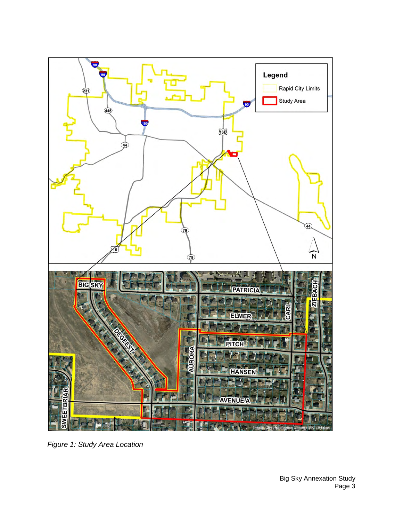

*Figure 1: Study Area Location*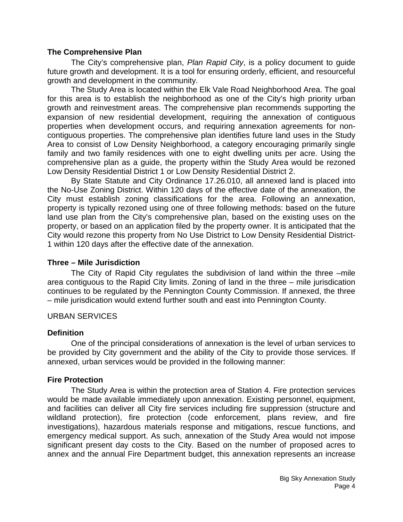#### **The Comprehensive Plan**

The City's comprehensive plan, *Plan Rapid City*, is a policy document to guide future growth and development. It is a tool for ensuring orderly, efficient, and resourceful growth and development in the community.

The Study Area is located within the Elk Vale Road Neighborhood Area. The goal for this area is to establish the neighborhood as one of the City's high priority urban growth and reinvestment areas. The comprehensive plan recommends supporting the expansion of new residential development, requiring the annexation of contiguous properties when development occurs, and requiring annexation agreements for noncontiguous properties. The comprehensive plan identifies future land uses in the Study Area to consist of Low Density Neighborhood, a category encouraging primarily single family and two family residences with one to eight dwelling units per acre. Using the comprehensive plan as a guide, the property within the Study Area would be rezoned Low Density Residential District 1 or Low Density Residential District 2.

By State Statute and City Ordinance 17.26.010, all annexed land is placed into the No-Use Zoning District. Within 120 days of the effective date of the annexation, the City must establish zoning classifications for the area. Following an annexation, property is typically rezoned using one of three following methods: based on the future land use plan from the City's comprehensive plan, based on the existing uses on the property, or based on an application filed by the property owner. It is anticipated that the City would rezone this property from No Use District to Low Density Residential District-1 within 120 days after the effective date of the annexation.

#### **Three – Mile Jurisdiction**

The City of Rapid City regulates the subdivision of land within the three –mile area contiguous to the Rapid City limits. Zoning of land in the three – mile jurisdication continues to be regulated by the Pennington County Commission. If annexed, the three – mile jurisdication would extend further south and east into Pennington County.

#### URBAN SERVICES

#### **Definition**

One of the principal considerations of annexation is the level of urban services to be provided by City government and the ability of the City to provide those services. If annexed, urban services would be provided in the following manner:

#### **Fire Protection**

The Study Area is within the protection area of Station 4. Fire protection services would be made available immediately upon annexation. Existing personnel, equipment, and facilities can deliver all City fire services including fire suppression (structure and wildland protection), fire protection (code enforcement, plans review, and fire investigations), hazardous materials response and mitigations, rescue functions, and emergency medical support. As such, annexation of the Study Area would not impose significant present day costs to the City. Based on the number of proposed acres to annex and the annual Fire Department budget, this annexation represents an increase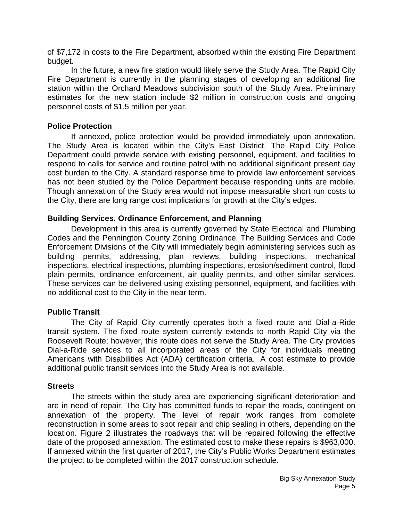of \$7,172 in costs to the Fire Department, absorbed within the existing Fire Department budget.

In the future, a new fire station would likely serve the Study Area. The Rapid City Fire Department is currently in the planning stages of developing an additional fire station within the Orchard Meadows subdivision south of the Study Area. Preliminary estimates for the new station include \$2 million in construction costs and ongoing personnel costs of \$1.5 million per year.

#### **Police Protection**

If annexed, police protection would be provided immediately upon annexation. The Study Area is located within the City's East District. The Rapid City Police Department could provide service with existing personnel, equipment, and facilities to respond to calls for service and routine patrol with no additional significant present day cost burden to the City. A standard response time to provide law enforcement services has not been studied by the Police Department because responding units are mobile. Though annexation of the Study area would not impose measurable short run costs to the City, there are long range cost implications for growth at the City's edges.

#### **Building Services, Ordinance Enforcement, and Planning**

Development in this area is currently governed by State Electrical and Plumbing Codes and the Pennington County Zoning Ordinance. The Building Services and Code Enforcement Divisions of the City will immediately begin administering services such as building permits, addressing, plan reviews, building inspections, mechanical inspections, electrical inspections, plumbing inspections, erosion/sediment control, flood plain permits, ordinance enforcement, air quality permits, and other similar services. These services can be delivered using existing personnel, equipment, and facilities with no additional cost to the City in the near term.

#### **Public Transit**

The City of Rapid City currently operates both a fixed route and Dial-a-Ride transit system. The fixed route system currently extends to north Rapid City via the Roosevelt Route; however, this route does not serve the Study Area. The City provides Dial-a-Ride services to all incorporated areas of the City for individuals meeting Americans with Disabilities Act (ADA) certification criteria. A cost estimate to provide additional public transit services into the Study Area is not available.

#### **Streets**

The streets within the study area are experiencing significant deterioration and are in need of repair. The City has committed funds to repair the roads, contingent on annexation of the property. The level of repair work ranges from complete reconstruction in some areas to spot repair and chip sealing in others, depending on the location. Figure 2 illustrates the roadways that will be repaired following the effective date of the proposed annexation. The estimated cost to make these repairs is \$963,000. If annexed within the first quarter of 2017, the City's Public Works Department estimates the project to be completed within the 2017 construction schedule.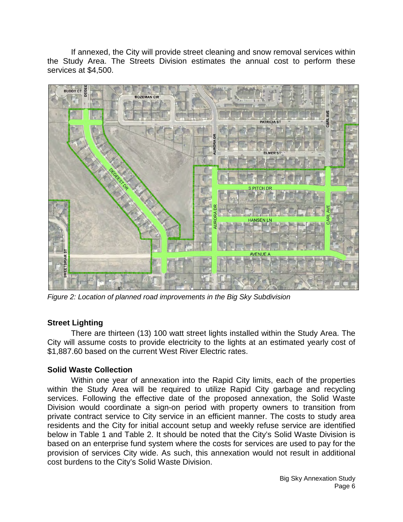If annexed, the City will provide street cleaning and snow removal services within the Study Area. The Streets Division estimates the annual cost to perform these services at \$4,500.



*Figure 2: Location of planned road improvements in the Big Sky Subdivision*

# **Street Lighting**

There are thirteen (13) 100 watt street lights installed within the Study Area. The City will assume costs to provide electricity to the lights at an estimated yearly cost of \$1,887.60 based on the current West River Electric rates.

#### **Solid Waste Collection**

Within one year of annexation into the Rapid City limits, each of the properties within the Study Area will be required to utilize Rapid City garbage and recycling services. Following the effective date of the proposed annexation, the Solid Waste Division would coordinate a sign-on period with property owners to transition from private contract service to City service in an efficient manner. The costs to study area residents and the City for initial account setup and weekly refuse service are identified below in Table 1 and Table 2. It should be noted that the City's Solid Waste Division is based on an enterprise fund system where the costs for services are used to pay for the provision of services City wide. As such, this annexation would not result in additional cost burdens to the City's Solid Waste Division.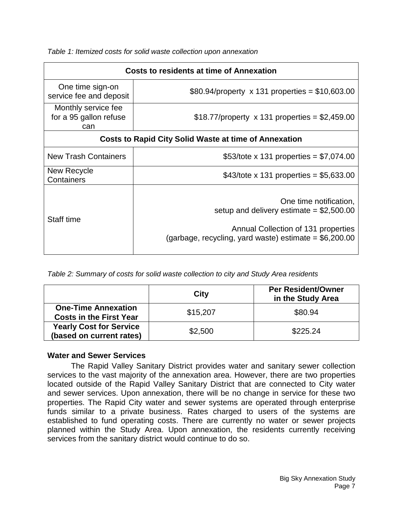*Table 1: Itemized costs for solid waste collection upon annexation*

| <b>Costs to residents at time of Annexation</b>              |                                                                                                                                                                       |  |
|--------------------------------------------------------------|-----------------------------------------------------------------------------------------------------------------------------------------------------------------------|--|
| One time sign-on<br>service fee and deposit                  | \$80.94/property $\times$ 131 properties = \$10,603.00                                                                                                                |  |
| Monthly service fee<br>for a 95 gallon refuse<br>can         | \$18.77/property x 131 properties = \$2,459.00                                                                                                                        |  |
| <b>Costs to Rapid City Solid Waste at time of Annexation</b> |                                                                                                                                                                       |  |
| <b>New Trash Containers</b>                                  | \$53/tote x 131 properties = $$7,074.00$                                                                                                                              |  |
| New Recycle<br>Containers                                    | \$43/tote x 131 properties = $$5,633.00$                                                                                                                              |  |
| Staff time                                                   | One time notification,<br>setup and delivery estimate $= $2,500.00$<br>Annual Collection of 131 properties<br>(garbage, recycling, yard waste) estimate = $$6,200.00$ |  |

*Table 2: Summary of costs for solid waste collection to city and Study Area residents*

|                                                              | City     | <b>Per Resident/Owner</b><br>in the Study Area |
|--------------------------------------------------------------|----------|------------------------------------------------|
| <b>One-Time Annexation</b><br><b>Costs in the First Year</b> | \$15,207 | \$80.94                                        |
| <b>Yearly Cost for Service</b><br>(based on current rates)   | \$2,500  | \$225.24                                       |

# **Water and Sewer Services**

The Rapid Valley Sanitary District provides water and sanitary sewer collection services to the vast majority of the annexation area. However, there are two properties located outside of the Rapid Valley Sanitary District that are connected to City water and sewer services. Upon annexation, there will be no change in service for these two properties. The Rapid City water and sewer systems are operated through enterprise funds similar to a private business. Rates charged to users of the systems are established to fund operating costs. There are currently no water or sewer projects planned within the Study Area. Upon annexation, the residents currently receiving services from the sanitary district would continue to do so.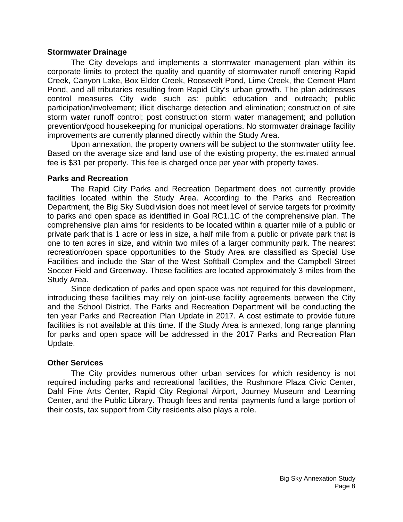#### **Stormwater Drainage**

The City develops and implements a stormwater management plan within its corporate limits to protect the quality and quantity of stormwater runoff entering Rapid Creek, Canyon Lake, Box Elder Creek, Roosevelt Pond, Lime Creek, the Cement Plant Pond, and all tributaries resulting from Rapid City's urban growth. The plan addresses control measures City wide such as: public education and outreach; public participation/involvement; illicit discharge detection and elimination; construction of site storm water runoff control; post construction storm water management; and pollution prevention/good housekeeping for municipal operations. No stormwater drainage facility improvements are currently planned directly within the Study Area.

Upon annexation, the property owners will be subject to the stormwater utility fee. Based on the average size and land use of the existing property, the estimated annual fee is \$31 per property. This fee is charged once per year with property taxes.

#### **Parks and Recreation**

The Rapid City Parks and Recreation Department does not currently provide facilities located within the Study Area. According to the Parks and Recreation Department, the Big Sky Subdivision does not meet level of service targets for proximity to parks and open space as identified in Goal RC1.1C of the comprehensive plan. The comprehensive plan aims for residents to be located within a quarter mile of a public or private park that is 1 acre or less in size, a half mile from a public or private park that is one to ten acres in size, and within two miles of a larger community park. The nearest recreation/open space opportunities to the Study Area are classified as Special Use Facilities and include the Star of the West Softball Complex and the Campbell Street Soccer Field and Greenway. These facilities are located approximately 3 miles from the Study Area.

Since dedication of parks and open space was not required for this development, introducing these facilities may rely on joint-use facility agreements between the City and the School District. The Parks and Recreation Department will be conducting the ten year Parks and Recreation Plan Update in 2017. A cost estimate to provide future facilities is not available at this time. If the Study Area is annexed, long range planning for parks and open space will be addressed in the 2017 Parks and Recreation Plan Update.

#### **Other Services**

The City provides numerous other urban services for which residency is not required including parks and recreational facilities, the Rushmore Plaza Civic Center, Dahl Fine Arts Center, Rapid City Regional Airport, Journey Museum and Learning Center, and the Public Library. Though fees and rental payments fund a large portion of their costs, tax support from City residents also plays a role.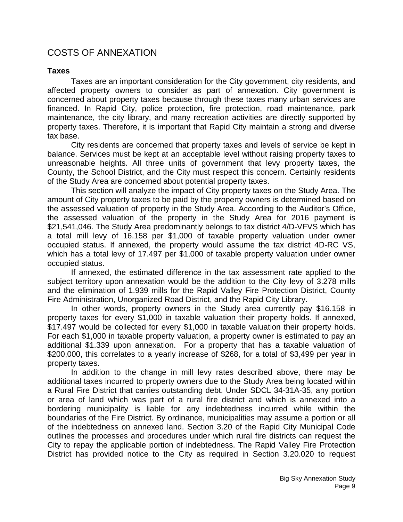# COSTS OF ANNEXATION

#### **Taxes**

Taxes are an important consideration for the City government, city residents, and affected property owners to consider as part of annexation. City government is concerned about property taxes because through these taxes many urban services are financed. In Rapid City, police protection, fire protection, road maintenance, park maintenance, the city library, and many recreation activities are directly supported by property taxes. Therefore, it is important that Rapid City maintain a strong and diverse tax base.

City residents are concerned that property taxes and levels of service be kept in balance. Services must be kept at an acceptable level without raising property taxes to unreasonable heights. All three units of government that levy property taxes, the County, the School District, and the City must respect this concern. Certainly residents of the Study Area are concerned about potential property taxes.

This section will analyze the impact of City property taxes on the Study Area. The amount of City property taxes to be paid by the property owners is determined based on the assessed valuation of property in the Study Area. According to the Auditor's Office, the assessed valuation of the property in the Study Area for 2016 payment is \$21,541,046. The Study Area predominantly belongs to tax district 4/D-VFVS which has a total mill levy of 16.158 per \$1,000 of taxable property valuation under owner occupied status. If annexed, the property would assume the tax district 4D-RC VS, which has a total levy of 17.497 per \$1,000 of taxable property valuation under owner occupied status.

If annexed, the estimated difference in the tax assessment rate applied to the subject territory upon annexation would be the addition to the City levy of 3.278 mills and the elimination of 1.939 mills for the Rapid Valley Fire Protection District, County Fire Administration, Unorganized Road District, and the Rapid City Library.

In other words, property owners in the Study area currently pay \$16.158 in property taxes for every \$1,000 in taxable valuation their property holds. If annexed, \$17.497 would be collected for every \$1,000 in taxable valuation their property holds. For each \$1,000 in taxable property valuation, a property owner is estimated to pay an additional \$1.339 upon annexation. For a property that has a taxable valuation of \$200,000, this correlates to a yearly increase of \$268, for a total of \$3,499 per year in property taxes.

In addition to the change in mill levy rates described above, there may be additional taxes incurred to property owners due to the Study Area being located within a Rural Fire District that carries outstanding debt. Under SDCL 34-31A-35, any portion or area of land which was part of a rural fire district and which is annexed into a bordering municipality is liable for any indebtedness incurred while within the boundaries of the Fire District. By ordinance, municipalities may assume a portion or all of the indebtedness on annexed land. Section 3.20 of the Rapid City Municipal Code outlines the processes and procedures under which rural fire districts can request the City to repay the applicable portion of indebtedness. The Rapid Valley Fire Protection District has provided notice to the City as required in Section 3.20.020 to request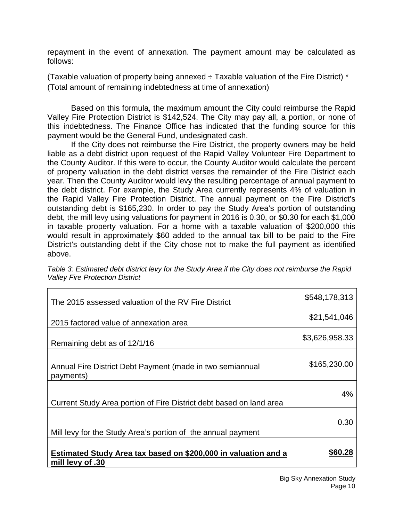repayment in the event of annexation. The payment amount may be calculated as follows:

(Taxable valuation of property being annexed  $\div$  Taxable valuation of the Fire District)  $*$ (Total amount of remaining indebtedness at time of annexation)

Based on this formula, the maximum amount the City could reimburse the Rapid Valley Fire Protection District is \$142,524. The City may pay all, a portion, or none of this indebtedness. The Finance Office has indicated that the funding source for this payment would be the General Fund, undesignated cash.

If the City does not reimburse the Fire District, the property owners may be held liable as a debt district upon request of the Rapid Valley Volunteer Fire Department to the County Auditor. If this were to occur, the County Auditor would calculate the percent of property valuation in the debt district verses the remainder of the Fire District each year. Then the County Auditor would levy the resulting percentage of annual payment to the debt district. For example, the Study Area currently represents 4% of valuation in the Rapid Valley Fire Protection District. The annual payment on the Fire District's outstanding debt is \$165,230. In order to pay the Study Area's portion of outstanding debt, the mill levy using valuations for payment in 2016 is 0.30, or \$0.30 for each \$1,000 in taxable property valuation. For a home with a taxable valuation of \$200,000 this would result in approximately \$60 added to the annual tax bill to be paid to the Fire District's outstanding debt if the City chose not to make the full payment as identified above.

| The 2015 assessed valuation of the RV Fire District                                | \$548,178,313  |
|------------------------------------------------------------------------------------|----------------|
| 2015 factored value of annexation area                                             | \$21,541,046   |
| Remaining debt as of 12/1/16                                                       | \$3,626,958.33 |
| Annual Fire District Debt Payment (made in two semiannual<br>payments)             | \$165,230.00   |
| Current Study Area portion of Fire District debt based on land area                | 4%             |
| Mill levy for the Study Area's portion of the annual payment                       | 0.30           |
| Estimated Study Area tax based on \$200,000 in valuation and a<br>mill levy of .30 | \$60.28        |

*Table 3: Estimated debt district levy for the Study Area if the City does not reimburse the Rapid Valley Fire Protection District*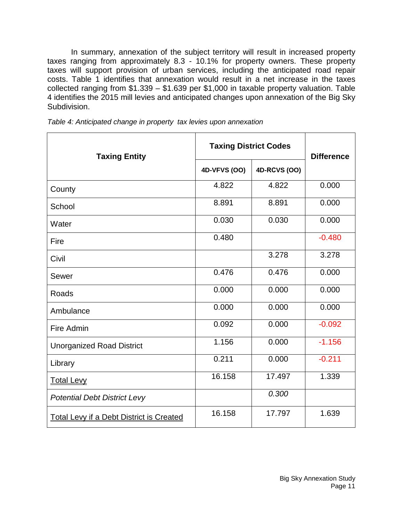In summary, annexation of the subject territory will result in increased property taxes ranging from approximately 8.3 - 10.1% for property owners. These property taxes will support provision of urban services, including the anticipated road repair costs. Table 1 identifies that annexation would result in a net increase in the taxes collected ranging from \$1.339 – \$1.639 per \$1,000 in taxable property valuation. Table 4 identifies the 2015 mill levies and anticipated changes upon annexation of the Big Sky Subdivision.

| <b>Taxing Entity</b>                            | <b>Taxing District Codes</b> |              | <b>Difference</b> |
|-------------------------------------------------|------------------------------|--------------|-------------------|
|                                                 | 4D-VFVS (OO)                 | 4D-RCVS (OO) |                   |
| County                                          | 4.822                        | 4.822        | 0.000             |
| School                                          | 8.891                        | 8.891        | 0.000             |
| Water                                           | 0.030                        | 0.030        | 0.000             |
| Fire                                            | 0.480                        |              | $-0.480$          |
| Civil                                           |                              | 3.278        | 3.278             |
| Sewer                                           | 0.476                        | 0.476        | 0.000             |
| Roads                                           | 0.000                        | 0.000        | 0.000             |
| Ambulance                                       | 0.000                        | 0.000        | 0.000             |
| Fire Admin                                      | 0.092                        | 0.000        | $-0.092$          |
| <b>Unorganized Road District</b>                | 1.156                        | 0.000        | $-1.156$          |
| Library                                         | 0.211                        | 0.000        | $-0.211$          |
| <b>Total Levy</b>                               | 16.158                       | 17.497       | 1.339             |
| <b>Potential Debt District Levy</b>             |                              | 0.300        |                   |
| <b>Total Levy if a Debt District is Created</b> | 16.158                       | 17.797       | 1.639             |

*Table 4: Anticipated change in property tax levies upon annexation*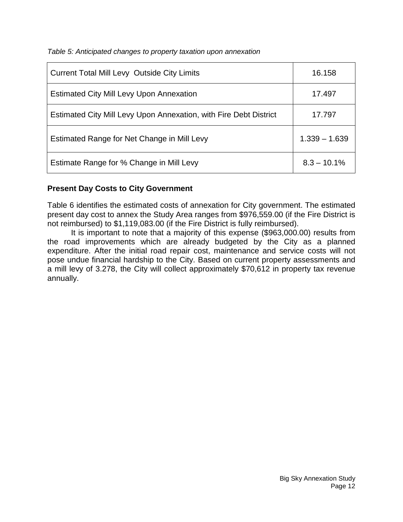*Table 5: Anticipated changes to property taxation upon annexation*

| <b>Current Total Mill Levy Outside City Limits</b>                | 16.158          |
|-------------------------------------------------------------------|-----------------|
| <b>Estimated City Mill Levy Upon Annexation</b>                   | 17.497          |
| Estimated City Mill Levy Upon Annexation, with Fire Debt District | 17.797          |
| Estimated Range for Net Change in Mill Levy                       | $1.339 - 1.639$ |
| Estimate Range for % Change in Mill Levy                          | $8.3 - 10.1\%$  |

# **Present Day Costs to City Government**

Table 6 identifies the estimated costs of annexation for City government. The estimated present day cost to annex the Study Area ranges from \$976,559.00 (if the Fire District is not reimbursed) to \$1,119,083.00 (if the Fire District is fully reimbursed).

It is important to note that a majority of this expense (\$963,000.00) results from the road improvements which are already budgeted by the City as a planned expenditure. After the initial road repair cost, maintenance and service costs will not pose undue financial hardship to the City. Based on current property assessments and a mill levy of 3.278, the City will collect approximately \$70,612 in property tax revenue annually.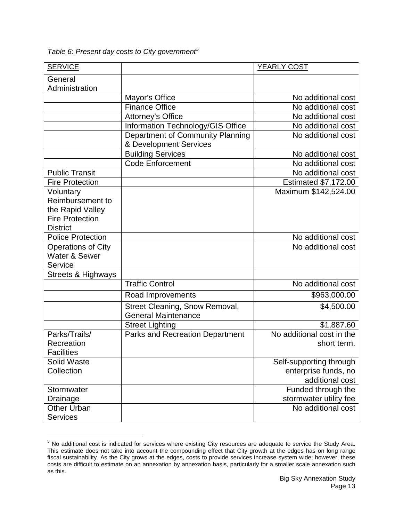*Table 6: Present day costs to City government[5](#page-13-0)*

 $\overline{\phantom{a}}$ 

| <b>SERVICE</b>                |                                        | YEARLY COST                 |
|-------------------------------|----------------------------------------|-----------------------------|
| General<br>Administration     |                                        |                             |
|                               | Mayor's Office                         | No additional cost          |
|                               | <b>Finance Office</b>                  | No additional cost          |
|                               | Attorney's Office                      | No additional cost          |
|                               | Information Technology/GIS Office      | No additional cost          |
|                               | Department of Community Planning       | No additional cost          |
|                               | & Development Services                 |                             |
|                               | <b>Building Services</b>               | No additional cost          |
|                               | <b>Code Enforcement</b>                | No additional cost          |
| <b>Public Transit</b>         |                                        | No additional cost          |
| <b>Fire Protection</b>        |                                        | <b>Estimated \$7,172.00</b> |
| Voluntary                     |                                        | Maximum \$142,524.00        |
| Reimbursement to              |                                        |                             |
| the Rapid Valley              |                                        |                             |
| <b>Fire Protection</b>        |                                        |                             |
| <b>District</b>               |                                        |                             |
| <b>Police Protection</b>      |                                        | No additional cost          |
| <b>Operations of City</b>     |                                        | No additional cost          |
| Water & Sewer                 |                                        |                             |
| Service                       |                                        |                             |
| <b>Streets &amp; Highways</b> |                                        |                             |
|                               | <b>Traffic Control</b>                 | No additional cost          |
|                               | Road Improvements                      | \$963,000.00                |
|                               | Street Cleaning, Snow Removal,         | \$4,500.00                  |
|                               | <b>General Maintenance</b>             |                             |
|                               | <b>Street Lighting</b>                 | \$1,887.60                  |
| Parks/Trails/                 | <b>Parks and Recreation Department</b> | No additional cost in the   |
| Recreation                    |                                        | short term.                 |
| <b>Facilities</b>             |                                        |                             |
| Solid Waste                   |                                        | Self-supporting through     |
| Collection                    |                                        | enterprise funds, no        |
|                               |                                        | additional cost             |
| Stormwater                    |                                        | Funded through the          |
| Drainage                      |                                        | stormwater utility fee      |
| <b>Other Urban</b>            |                                        | No additional cost          |
| <b>Services</b>               |                                        |                             |

<span id="page-13-0"></span> $5$  No additional cost is indicated for services where existing City resources are adequate to service the Study Area. This estimate does not take into account the compounding effect that City growth at the edges has on long range fiscal sustainability. As the City grows at the edges, costs to provide services increase system wide; however, these costs are difficult to estimate on an annexation by annexation basis, particularly for a smaller scale annexation such as this.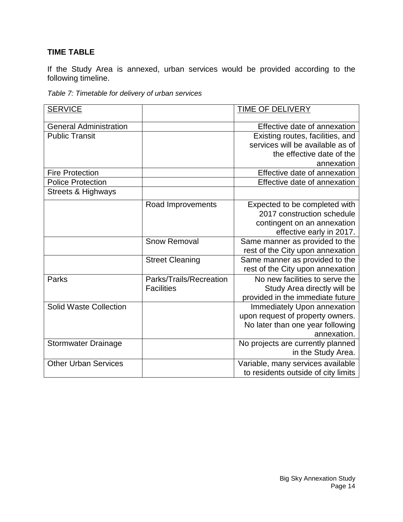# **TIME TABLE**

If the Study Area is annexed, urban services would be provided according to the following timeline.

| Table 7: Timetable for delivery of urban services |
|---------------------------------------------------|
|---------------------------------------------------|

| <b>SERVICE</b>                |                         | TIME OF DELIVERY                                |
|-------------------------------|-------------------------|-------------------------------------------------|
| <b>General Administration</b> |                         | Effective date of annexation                    |
| <b>Public Transit</b>         |                         | Existing routes, facilities, and                |
|                               |                         | services will be available as of                |
|                               |                         | the effective date of the                       |
|                               |                         | annexation                                      |
| <b>Fire Protection</b>        |                         | Effective date of annexation                    |
| <b>Police Protection</b>      |                         | Effective date of annexation                    |
| <b>Streets &amp; Highways</b> |                         |                                                 |
|                               | Road Improvements       | Expected to be completed with                   |
|                               |                         | 2017 construction schedule                      |
|                               |                         | contingent on an annexation                     |
|                               |                         | effective early in 2017.                        |
|                               | <b>Snow Removal</b>     | Same manner as provided to the                  |
|                               |                         | rest of the City upon annexation                |
|                               | <b>Street Cleaning</b>  | Same manner as provided to the                  |
|                               |                         | rest of the City upon annexation                |
| Parks                         | Parks/Trails/Recreation | No new facilities to serve the                  |
|                               | <b>Facilities</b>       | Study Area directly will be                     |
|                               |                         | provided in the immediate future                |
| <b>Solid Waste Collection</b> |                         | Immediately Upon annexation                     |
|                               |                         | upon request of property owners.                |
|                               |                         | No later than one year following<br>annexation. |
| <b>Stormwater Drainage</b>    |                         | No projects are currently planned               |
|                               |                         | in the Study Area.                              |
| <b>Other Urban Services</b>   |                         | Variable, many services available               |
|                               |                         | to residents outside of city limits             |